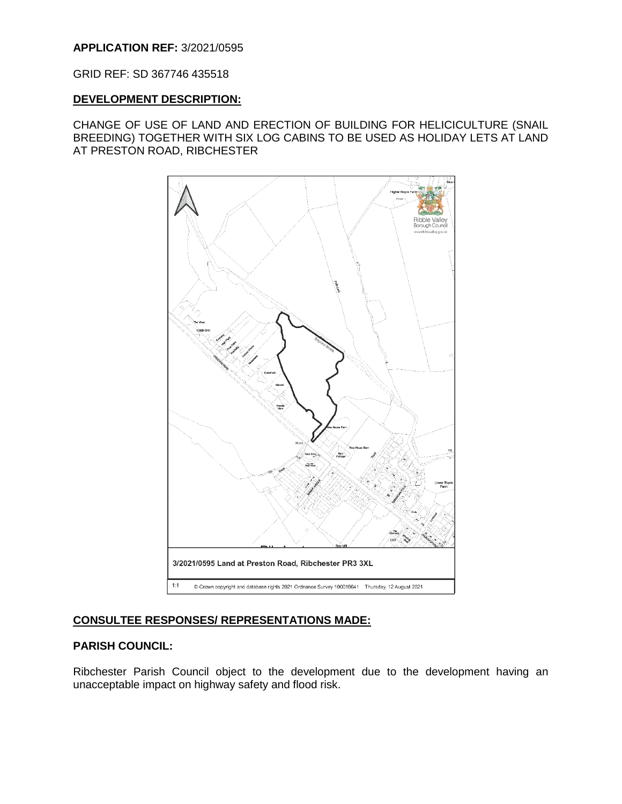## **APPLICATION REF:** 3/2021/0595

GRID REF: SD 367746 435518

#### **DEVELOPMENT DESCRIPTION:**

CHANGE OF USE OF LAND AND ERECTION OF BUILDING FOR HELICICULTURE (SNAIL BREEDING) TOGETHER WITH SIX LOG CABINS TO BE USED AS HOLIDAY LETS AT LAND AT PRESTON ROAD, RIBCHESTER



#### **CONSULTEE RESPONSES/ REPRESENTATIONS MADE:**

#### **PARISH COUNCIL:**

Ribchester Parish Council object to the development due to the development having an unacceptable impact on highway safety and flood risk.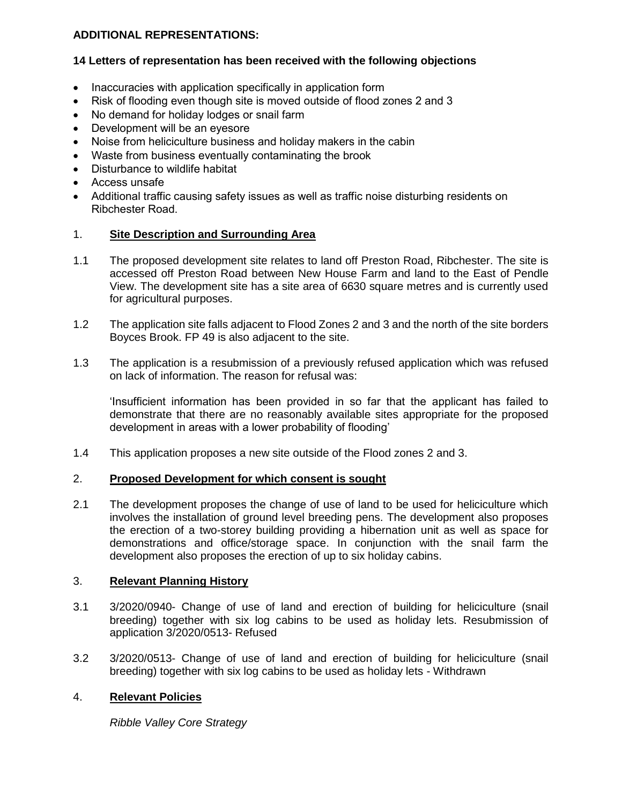## **ADDITIONAL REPRESENTATIONS:**

# **14 Letters of representation has been received with the following objections**

- Inaccuracies with application specifically in application form
- Risk of flooding even though site is moved outside of flood zones 2 and 3
- No demand for holiday lodges or snail farm
- Development will be an eyesore
- Noise from heliciculture business and holiday makers in the cabin
- Waste from business eventually contaminating the brook
- Disturbance to wildlife habitat
- Access unsafe
- Additional traffic causing safety issues as well as traffic noise disturbing residents on Ribchester Road.

## 1. **Site Description and Surrounding Area**

- 1.1 The proposed development site relates to land off Preston Road, Ribchester. The site is accessed off Preston Road between New House Farm and land to the East of Pendle View. The development site has a site area of 6630 square metres and is currently used for agricultural purposes.
- 1.2 The application site falls adjacent to Flood Zones 2 and 3 and the north of the site borders Boyces Brook. FP 49 is also adjacent to the site.
- 1.3 The application is a resubmission of a previously refused application which was refused on lack of information. The reason for refusal was:

'Insufficient information has been provided in so far that the applicant has failed to demonstrate that there are no reasonably available sites appropriate for the proposed development in areas with a lower probability of flooding'

1.4 This application proposes a new site outside of the Flood zones 2 and 3.

#### 2. **Proposed Development for which consent is sought**

2.1 The development proposes the change of use of land to be used for heliciculture which involves the installation of ground level breeding pens. The development also proposes the erection of a two-storey building providing a hibernation unit as well as space for demonstrations and office/storage space. In conjunction with the snail farm the development also proposes the erection of up to six holiday cabins.

#### 3. **Relevant Planning History**

- 3.1 3/2020/0940- Change of use of land and erection of building for heliciculture (snail breeding) together with six log cabins to be used as holiday lets. Resubmission of application 3/2020/0513- Refused
- 3.2 3/2020/0513- Change of use of land and erection of building for heliciculture (snail breeding) together with six log cabins to be used as holiday lets - Withdrawn

## 4. **Relevant Policies**

*Ribble Valley Core Strategy*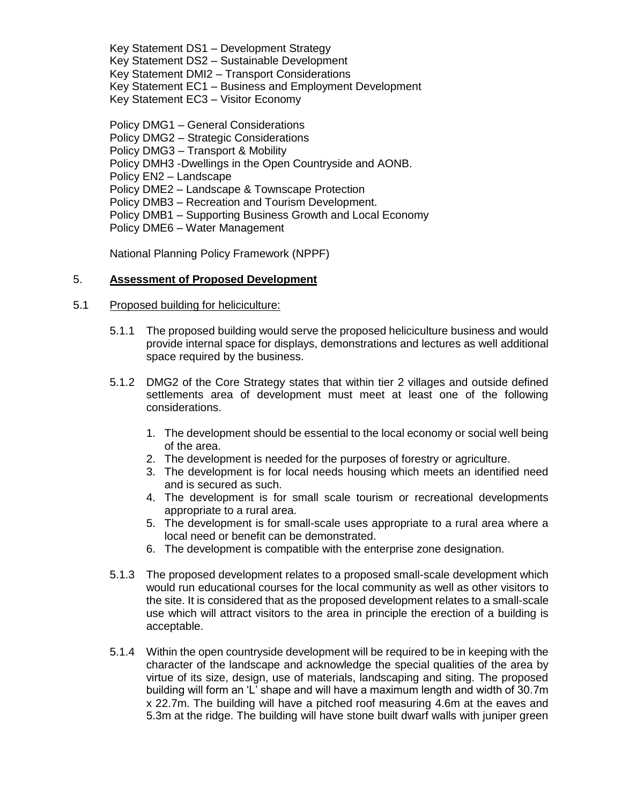Key Statement DS1 – Development Strategy Key Statement DS2 – Sustainable Development Key Statement DMI2 – Transport Considerations Key Statement EC1 – Business and Employment Development Key Statement EC3 – Visitor Economy

Policy DMG1 – General Considerations Policy DMG2 – Strategic Considerations Policy DMG3 – Transport & Mobility Policy DMH3 -Dwellings in the Open Countryside and AONB. Policy EN2 – Landscape Policy DME2 – Landscape & Townscape Protection Policy DMB3 – Recreation and Tourism Development. Policy DMB1 – Supporting Business Growth and Local Economy Policy DME6 – Water Management

National Planning Policy Framework (NPPF)

## 5. **Assessment of Proposed Development**

## 5.1 Proposed building for heliciculture:

- 5.1.1 The proposed building would serve the proposed heliciculture business and would provide internal space for displays, demonstrations and lectures as well additional space required by the business.
- 5.1.2 DMG2 of the Core Strategy states that within tier 2 villages and outside defined settlements area of development must meet at least one of the following considerations.
	- 1. The development should be essential to the local economy or social well being of the area.
	- 2. The development is needed for the purposes of forestry or agriculture.
	- 3. The development is for local needs housing which meets an identified need and is secured as such.
	- 4. The development is for small scale tourism or recreational developments appropriate to a rural area.
	- 5. The development is for small-scale uses appropriate to a rural area where a local need or benefit can be demonstrated.
	- 6. The development is compatible with the enterprise zone designation.
- 5.1.3 The proposed development relates to a proposed small-scale development which would run educational courses for the local community as well as other visitors to the site. It is considered that as the proposed development relates to a small-scale use which will attract visitors to the area in principle the erection of a building is acceptable.
- 5.1.4 Within the open countryside development will be required to be in keeping with the character of the landscape and acknowledge the special qualities of the area by virtue of its size, design, use of materials, landscaping and siting. The proposed building will form an 'L' shape and will have a maximum length and width of 30.7m x 22.7m. The building will have a pitched roof measuring 4.6m at the eaves and 5.3m at the ridge. The building will have stone built dwarf walls with juniper green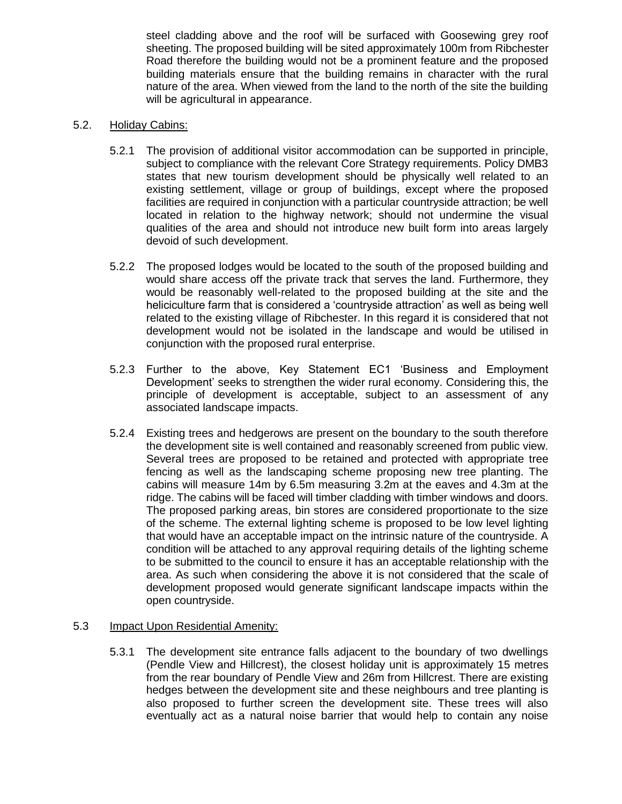steel cladding above and the roof will be surfaced with Goosewing grey roof sheeting. The proposed building will be sited approximately 100m from Ribchester Road therefore the building would not be a prominent feature and the proposed building materials ensure that the building remains in character with the rural nature of the area. When viewed from the land to the north of the site the building will be agricultural in appearance.

#### 5.2. Holiday Cabins:

- 5.2.1 The provision of additional visitor accommodation can be supported in principle, subject to compliance with the relevant Core Strategy requirements. Policy DMB3 states that new tourism development should be physically well related to an existing settlement, village or group of buildings, except where the proposed facilities are required in conjunction with a particular countryside attraction; be well located in relation to the highway network; should not undermine the visual qualities of the area and should not introduce new built form into areas largely devoid of such development.
- 5.2.2 The proposed lodges would be located to the south of the proposed building and would share access off the private track that serves the land. Furthermore, they would be reasonably well-related to the proposed building at the site and the heliciculture farm that is considered a 'countryside attraction' as well as being well related to the existing village of Ribchester. In this regard it is considered that not development would not be isolated in the landscape and would be utilised in conjunction with the proposed rural enterprise.
- 5.2.3 Further to the above, Key Statement EC1 'Business and Employment Development' seeks to strengthen the wider rural economy. Considering this, the principle of development is acceptable, subject to an assessment of any associated landscape impacts.
- 5.2.4 Existing trees and hedgerows are present on the boundary to the south therefore the development site is well contained and reasonably screened from public view. Several trees are proposed to be retained and protected with appropriate tree fencing as well as the landscaping scheme proposing new tree planting. The cabins will measure 14m by 6.5m measuring 3.2m at the eaves and 4.3m at the ridge. The cabins will be faced will timber cladding with timber windows and doors. The proposed parking areas, bin stores are considered proportionate to the size of the scheme. The external lighting scheme is proposed to be low level lighting that would have an acceptable impact on the intrinsic nature of the countryside. A condition will be attached to any approval requiring details of the lighting scheme to be submitted to the council to ensure it has an acceptable relationship with the area. As such when considering the above it is not considered that the scale of development proposed would generate significant landscape impacts within the open countryside.

## 5.3 Impact Upon Residential Amenity:

5.3.1 The development site entrance falls adjacent to the boundary of two dwellings (Pendle View and Hillcrest), the closest holiday unit is approximately 15 metres from the rear boundary of Pendle View and 26m from Hillcrest. There are existing hedges between the development site and these neighbours and tree planting is also proposed to further screen the development site. These trees will also eventually act as a natural noise barrier that would help to contain any noise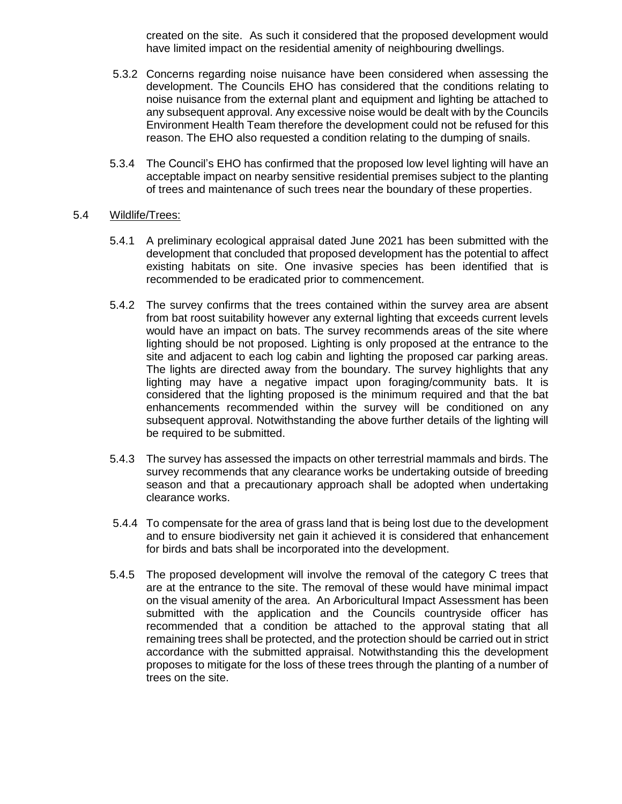created on the site. As such it considered that the proposed development would have limited impact on the residential amenity of neighbouring dwellings.

- 5.3.2 Concerns regarding noise nuisance have been considered when assessing the development. The Councils EHO has considered that the conditions relating to noise nuisance from the external plant and equipment and lighting be attached to any subsequent approval. Any excessive noise would be dealt with by the Councils Environment Health Team therefore the development could not be refused for this reason. The EHO also requested a condition relating to the dumping of snails.
- 5.3.4 The Council's EHO has confirmed that the proposed low level lighting will have an acceptable impact on nearby sensitive residential premises subject to the planting of trees and maintenance of such trees near the boundary of these properties.

#### 5.4 Wildlife/Trees:

- 5.4.1 A preliminary ecological appraisal dated June 2021 has been submitted with the development that concluded that proposed development has the potential to affect existing habitats on site. One invasive species has been identified that is recommended to be eradicated prior to commencement.
- 5.4.2 The survey confirms that the trees contained within the survey area are absent from bat roost suitability however any external lighting that exceeds current levels would have an impact on bats. The survey recommends areas of the site where lighting should be not proposed. Lighting is only proposed at the entrance to the site and adjacent to each log cabin and lighting the proposed car parking areas. The lights are directed away from the boundary. The survey highlights that any lighting may have a negative impact upon foraging/community bats. It is considered that the lighting proposed is the minimum required and that the bat enhancements recommended within the survey will be conditioned on any subsequent approval. Notwithstanding the above further details of the lighting will be required to be submitted.
- 5.4.3 The survey has assessed the impacts on other terrestrial mammals and birds. The survey recommends that any clearance works be undertaking outside of breeding season and that a precautionary approach shall be adopted when undertaking clearance works.
- 5.4.4 To compensate for the area of grass land that is being lost due to the development and to ensure biodiversity net gain it achieved it is considered that enhancement for birds and bats shall be incorporated into the development.
- 5.4.5 The proposed development will involve the removal of the category C trees that are at the entrance to the site. The removal of these would have minimal impact on the visual amenity of the area. An Arboricultural Impact Assessment has been submitted with the application and the Councils countryside officer has recommended that a condition be attached to the approval stating that all remaining trees shall be protected, and the protection should be carried out in strict accordance with the submitted appraisal. Notwithstanding this the development proposes to mitigate for the loss of these trees through the planting of a number of trees on the site.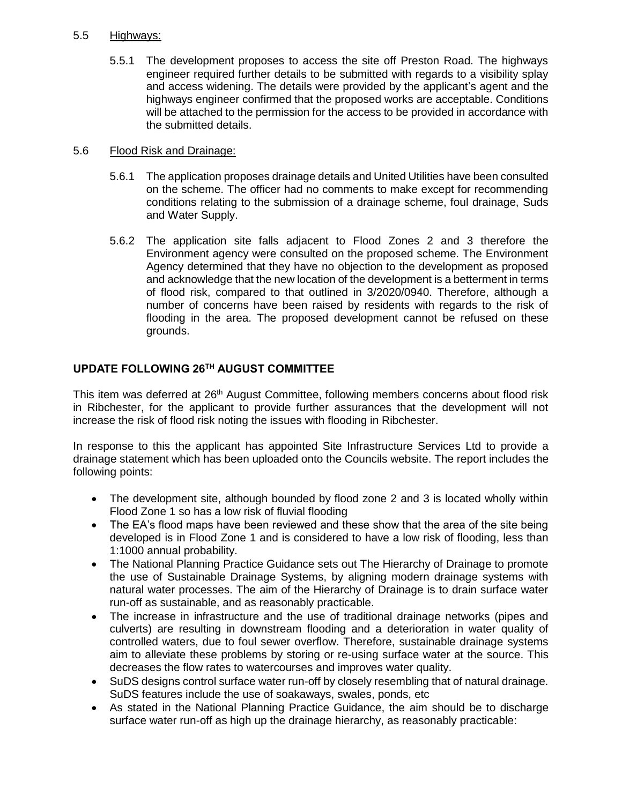## 5.5 Highways:

5.5.1 The development proposes to access the site off Preston Road. The highways engineer required further details to be submitted with regards to a visibility splay and access widening. The details were provided by the applicant's agent and the highways engineer confirmed that the proposed works are acceptable. Conditions will be attached to the permission for the access to be provided in accordance with the submitted details.

## 5.6 Flood Risk and Drainage:

- 5.6.1 The application proposes drainage details and United Utilities have been consulted on the scheme. The officer had no comments to make except for recommending conditions relating to the submission of a drainage scheme, foul drainage, Suds and Water Supply.
- 5.6.2 The application site falls adjacent to Flood Zones 2 and 3 therefore the Environment agency were consulted on the proposed scheme. The Environment Agency determined that they have no objection to the development as proposed and acknowledge that the new location of the development is a betterment in terms of flood risk, compared to that outlined in 3/2020/0940. Therefore, although a number of concerns have been raised by residents with regards to the risk of flooding in the area. The proposed development cannot be refused on these grounds.

# **UPDATE FOLLOWING 26TH AUGUST COMMITTEE**

This item was deferred at 26<sup>th</sup> August Committee, following members concerns about flood risk in Ribchester, for the applicant to provide further assurances that the development will not increase the risk of flood risk noting the issues with flooding in Ribchester.

In response to this the applicant has appointed Site Infrastructure Services Ltd to provide a drainage statement which has been uploaded onto the Councils website. The report includes the following points:

- The development site, although bounded by flood zone 2 and 3 is located wholly within Flood Zone 1 so has a low risk of fluvial flooding
- The EA's flood maps have been reviewed and these show that the area of the site being developed is in Flood Zone 1 and is considered to have a low risk of flooding, less than 1:1000 annual probability.
- The National Planning Practice Guidance sets out The Hierarchy of Drainage to promote the use of Sustainable Drainage Systems, by aligning modern drainage systems with natural water processes. The aim of the Hierarchy of Drainage is to drain surface water run-off as sustainable, and as reasonably practicable.
- The increase in infrastructure and the use of traditional drainage networks (pipes and culverts) are resulting in downstream flooding and a deterioration in water quality of controlled waters, due to foul sewer overflow. Therefore, sustainable drainage systems aim to alleviate these problems by storing or re-using surface water at the source. This decreases the flow rates to watercourses and improves water quality.
- SuDS designs control surface water run-off by closely resembling that of natural drainage. SuDS features include the use of soakaways, swales, ponds, etc
- As stated in the National Planning Practice Guidance, the aim should be to discharge surface water run-off as high up the drainage hierarchy, as reasonably practicable: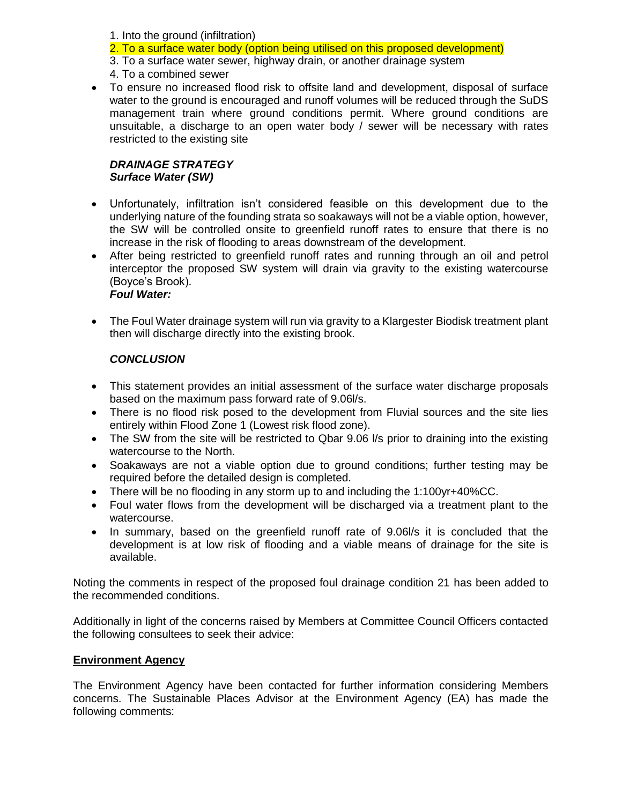1. Into the ground (infiltration)

2. To a surface water body (option being utilised on this proposed development)

3. To a surface water sewer, highway drain, or another drainage system

- 4. To a combined sewer
- To ensure no increased flood risk to offsite land and development, disposal of surface water to the ground is encouraged and runoff volumes will be reduced through the SuDS management train where ground conditions permit. Where ground conditions are unsuitable, a discharge to an open water body / sewer will be necessary with rates restricted to the existing site

# *DRAINAGE STRATEGY Surface Water (SW)*

- Unfortunately, infiltration isn't considered feasible on this development due to the underlying nature of the founding strata so soakaways will not be a viable option, however, the SW will be controlled onsite to greenfield runoff rates to ensure that there is no increase in the risk of flooding to areas downstream of the development.
- After being restricted to greenfield runoff rates and running through an oil and petrol interceptor the proposed SW system will drain via gravity to the existing watercourse (Boyce's Brook). *Foul Water:*
- The Foul Water drainage system will run via gravity to a Klargester Biodisk treatment plant then will discharge directly into the existing brook.

# *CONCLUSION*

- This statement provides an initial assessment of the surface water discharge proposals based on the maximum pass forward rate of 9.06l/s.
- There is no flood risk posed to the development from Fluvial sources and the site lies entirely within Flood Zone 1 (Lowest risk flood zone).
- The SW from the site will be restricted to Qbar 9.06 I/s prior to draining into the existing watercourse to the North.
- Soakaways are not a viable option due to ground conditions; further testing may be required before the detailed design is completed.
- There will be no flooding in any storm up to and including the 1:100yr+40%CC.
- Foul water flows from the development will be discharged via a treatment plant to the watercourse.
- In summary, based on the greenfield runoff rate of 9.06l/s it is concluded that the development is at low risk of flooding and a viable means of drainage for the site is available.

Noting the comments in respect of the proposed foul drainage condition 21 has been added to the recommended conditions.

Additionally in light of the concerns raised by Members at Committee Council Officers contacted the following consultees to seek their advice:

# **Environment Agency**

The Environment Agency have been contacted for further information considering Members concerns. The Sustainable Places Advisor at the Environment Agency (EA) has made the following comments: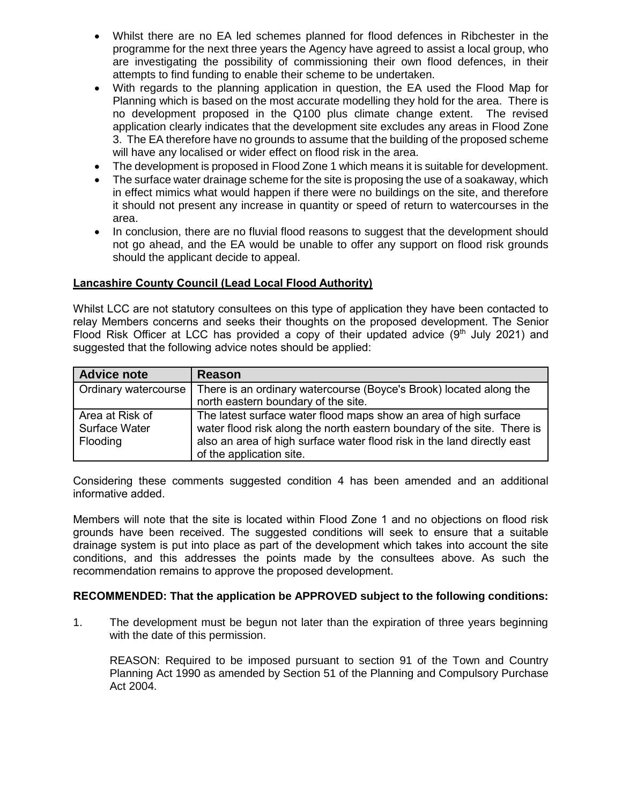- Whilst there are no EA led schemes planned for flood defences in Ribchester in the programme for the next three years the Agency have agreed to assist a local group, who are investigating the possibility of commissioning their own flood defences, in their attempts to find funding to enable their scheme to be undertaken.
- With regards to the planning application in question, the EA used the Flood Map for Planning which is based on the most accurate modelling they hold for the area. There is no development proposed in the Q100 plus climate change extent. The revised application clearly indicates that the development site excludes any areas in Flood Zone 3. The EA therefore have no grounds to assume that the building of the proposed scheme will have any localised or wider effect on flood risk in the area.
- The development is proposed in Flood Zone 1 which means it is suitable for development.
- The surface water drainage scheme for the site is proposing the use of a soakaway, which in effect mimics what would happen if there were no buildings on the site, and therefore it should not present any increase in quantity or speed of return to watercourses in the area.
- In conclusion, there are no fluvial flood reasons to suggest that the development should not go ahead, and the EA would be unable to offer any support on flood risk grounds should the applicant decide to appeal.

## **Lancashire County Council (Lead Local Flood Authority)**

Whilst LCC are not statutory consultees on this type of application they have been contacted to relay Members concerns and seeks their thoughts on the proposed development. The Senior Flood Risk Officer at LCC has provided a copy of their updated advice  $(9<sup>th</sup>$  July 2021) and suggested that the following advice notes should be applied:

| <b>Advice note</b>                           | Reason                                                                                                                                                                                                                                             |
|----------------------------------------------|----------------------------------------------------------------------------------------------------------------------------------------------------------------------------------------------------------------------------------------------------|
| Ordinary watercourse                         | There is an ordinary watercourse (Boyce's Brook) located along the<br>north eastern boundary of the site.                                                                                                                                          |
| Area at Risk of<br>Surface Water<br>Flooding | The latest surface water flood maps show an area of high surface<br>water flood risk along the north eastern boundary of the site. There is<br>also an area of high surface water flood risk in the land directly east<br>of the application site. |

Considering these comments suggested condition 4 has been amended and an additional informative added.

Members will note that the site is located within Flood Zone 1 and no objections on flood risk grounds have been received. The suggested conditions will seek to ensure that a suitable drainage system is put into place as part of the development which takes into account the site conditions, and this addresses the points made by the consultees above. As such the recommendation remains to approve the proposed development.

#### **RECOMMENDED: That the application be APPROVED subject to the following conditions:**

1. The development must be begun not later than the expiration of three years beginning with the date of this permission.

 REASON: Required to be imposed pursuant to section 91 of the Town and Country Planning Act 1990 as amended by Section 51 of the Planning and Compulsory Purchase Act 2004.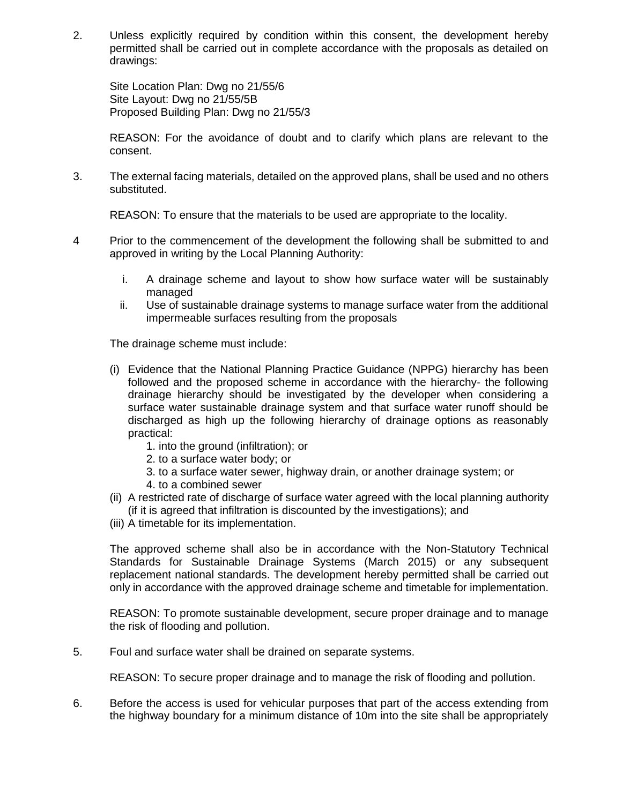2. Unless explicitly required by condition within this consent, the development hereby permitted shall be carried out in complete accordance with the proposals as detailed on drawings:

Site Location Plan: Dwg no 21/55/6 Site Layout: Dwg no 21/55/5B Proposed Building Plan: Dwg no 21/55/3

REASON: For the avoidance of doubt and to clarify which plans are relevant to the consent.

3. The external facing materials, detailed on the approved plans, shall be used and no others substituted.

REASON: To ensure that the materials to be used are appropriate to the locality.

- 4 Prior to the commencement of the development the following shall be submitted to and approved in writing by the Local Planning Authority:
	- i. A drainage scheme and layout to show how surface water will be sustainably managed
	- ii. Use of sustainable drainage systems to manage surface water from the additional impermeable surfaces resulting from the proposals

The drainage scheme must include:

- (i) Evidence that the National Planning Practice Guidance (NPPG) hierarchy has been followed and the proposed scheme in accordance with the hierarchy- the following drainage hierarchy should be investigated by the developer when considering a surface water sustainable drainage system and that surface water runoff should be discharged as high up the following hierarchy of drainage options as reasonably practical:
	- 1. into the ground (infiltration); or
	- 2. to a surface water body; or
	- 3. to a surface water sewer, highway drain, or another drainage system; or
	- 4. to a combined sewer
- (ii) A restricted rate of discharge of surface water agreed with the local planning authority (if it is agreed that infiltration is discounted by the investigations); and
- (iii) A timetable for its implementation.

The approved scheme shall also be in accordance with the Non-Statutory Technical Standards for Sustainable Drainage Systems (March 2015) or any subsequent replacement national standards. The development hereby permitted shall be carried out only in accordance with the approved drainage scheme and timetable for implementation.

REASON: To promote sustainable development, secure proper drainage and to manage the risk of flooding and pollution.

5. Foul and surface water shall be drained on separate systems.

REASON: To secure proper drainage and to manage the risk of flooding and pollution.

6. Before the access is used for vehicular purposes that part of the access extending from the highway boundary for a minimum distance of 10m into the site shall be appropriately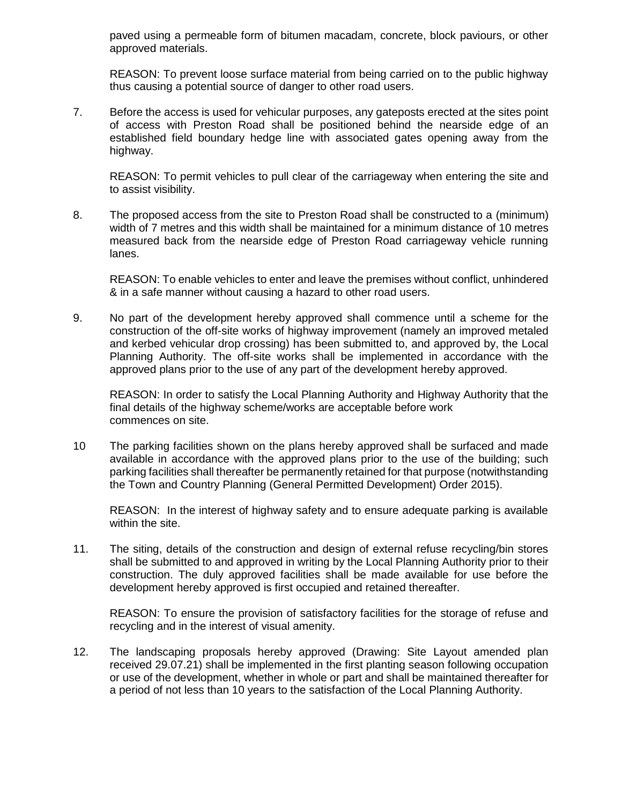paved using a permeable form of bitumen macadam, concrete, block paviours, or other approved materials.

REASON: To prevent loose surface material from being carried on to the public highway thus causing a potential source of danger to other road users.

7. Before the access is used for vehicular purposes, any gateposts erected at the sites point of access with Preston Road shall be positioned behind the nearside edge of an established field boundary hedge line with associated gates opening away from the highway.

REASON: To permit vehicles to pull clear of the carriageway when entering the site and to assist visibility.

8. The proposed access from the site to Preston Road shall be constructed to a (minimum) width of 7 metres and this width shall be maintained for a minimum distance of 10 metres measured back from the nearside edge of Preston Road carriageway vehicle running lanes.

REASON: To enable vehicles to enter and leave the premises without conflict, unhindered & in a safe manner without causing a hazard to other road users.

9. No part of the development hereby approved shall commence until a scheme for the construction of the off-site works of highway improvement (namely an improved metaled and kerbed vehicular drop crossing) has been submitted to, and approved by, the Local Planning Authority. The off-site works shall be implemented in accordance with the approved plans prior to the use of any part of the development hereby approved.

REASON: In order to satisfy the Local Planning Authority and Highway Authority that the final details of the highway scheme/works are acceptable before work commences on site.

10 The parking facilities shown on the plans hereby approved shall be surfaced and made available in accordance with the approved plans prior to the use of the building; such parking facilities shall thereafter be permanently retained for that purpose (notwithstanding the Town and Country Planning (General Permitted Development) Order 2015).

REASON: In the interest of highway safety and to ensure adequate parking is available within the site.

11. The siting, details of the construction and design of external refuse recycling/bin stores shall be submitted to and approved in writing by the Local Planning Authority prior to their construction. The duly approved facilities shall be made available for use before the development hereby approved is first occupied and retained thereafter.

REASON: To ensure the provision of satisfactory facilities for the storage of refuse and recycling and in the interest of visual amenity.

12. The landscaping proposals hereby approved (Drawing: Site Layout amended plan received 29.07.21) shall be implemented in the first planting season following occupation or use of the development, whether in whole or part and shall be maintained thereafter for a period of not less than 10 years to the satisfaction of the Local Planning Authority.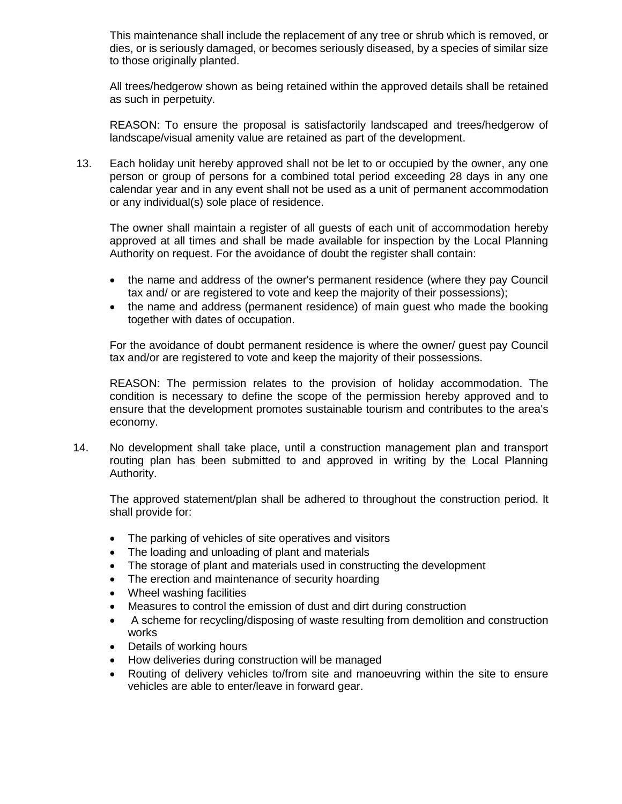This maintenance shall include the replacement of any tree or shrub which is removed, or dies, or is seriously damaged, or becomes seriously diseased, by a species of similar size to those originally planted.

All trees/hedgerow shown as being retained within the approved details shall be retained as such in perpetuity.

REASON: To ensure the proposal is satisfactorily landscaped and trees/hedgerow of landscape/visual amenity value are retained as part of the development.

13. Each holiday unit hereby approved shall not be let to or occupied by the owner, any one person or group of persons for a combined total period exceeding 28 days in any one calendar year and in any event shall not be used as a unit of permanent accommodation or any individual(s) sole place of residence.

The owner shall maintain a register of all guests of each unit of accommodation hereby approved at all times and shall be made available for inspection by the Local Planning Authority on request. For the avoidance of doubt the register shall contain:

- the name and address of the owner's permanent residence (where they pay Council tax and/ or are registered to vote and keep the majority of their possessions);
- the name and address (permanent residence) of main guest who made the booking together with dates of occupation.

For the avoidance of doubt permanent residence is where the owner/ guest pay Council tax and/or are registered to vote and keep the majority of their possessions.

REASON: The permission relates to the provision of holiday accommodation. The condition is necessary to define the scope of the permission hereby approved and to ensure that the development promotes sustainable tourism and contributes to the area's economy.

14. No development shall take place, until a construction management plan and transport routing plan has been submitted to and approved in writing by the Local Planning Authority.

The approved statement/plan shall be adhered to throughout the construction period. It shall provide for:

- The parking of vehicles of site operatives and visitors
- The loading and unloading of plant and materials
- The storage of plant and materials used in constructing the development
- The erection and maintenance of security hoarding
- Wheel washing facilities
- Measures to control the emission of dust and dirt during construction
- A scheme for recycling/disposing of waste resulting from demolition and construction works
- Details of working hours
- How deliveries during construction will be managed
- Routing of delivery vehicles to/from site and manoeuvring within the site to ensure vehicles are able to enter/leave in forward gear.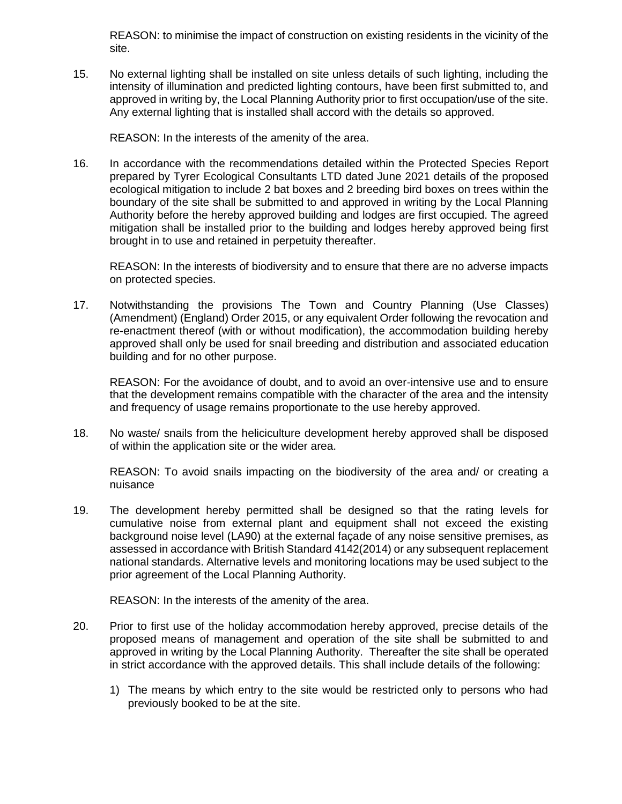REASON: to minimise the impact of construction on existing residents in the vicinity of the site.

15. No external lighting shall be installed on site unless details of such lighting, including the intensity of illumination and predicted lighting contours, have been first submitted to, and approved in writing by, the Local Planning Authority prior to first occupation/use of the site. Any external lighting that is installed shall accord with the details so approved.

REASON: In the interests of the amenity of the area.

16. In accordance with the recommendations detailed within the Protected Species Report prepared by Tyrer Ecological Consultants LTD dated June 2021 details of the proposed ecological mitigation to include 2 bat boxes and 2 breeding bird boxes on trees within the boundary of the site shall be submitted to and approved in writing by the Local Planning Authority before the hereby approved building and lodges are first occupied. The agreed mitigation shall be installed prior to the building and lodges hereby approved being first brought in to use and retained in perpetuity thereafter.

REASON: In the interests of biodiversity and to ensure that there are no adverse impacts on protected species.

17. Notwithstanding the provisions The Town and Country Planning (Use Classes) (Amendment) (England) Order 2015, or any equivalent Order following the revocation and re-enactment thereof (with or without modification), the accommodation building hereby approved shall only be used for snail breeding and distribution and associated education building and for no other purpose.

REASON: For the avoidance of doubt, and to avoid an over-intensive use and to ensure that the development remains compatible with the character of the area and the intensity and frequency of usage remains proportionate to the use hereby approved.

18. No waste/ snails from the heliciculture development hereby approved shall be disposed of within the application site or the wider area.

REASON: To avoid snails impacting on the biodiversity of the area and/ or creating a nuisance

19. The development hereby permitted shall be designed so that the rating levels for cumulative noise from external plant and equipment shall not exceed the existing background noise level (LA90) at the external façade of any noise sensitive premises, as assessed in accordance with British Standard 4142(2014) or any subsequent replacement national standards. Alternative levels and monitoring locations may be used subject to the prior agreement of the Local Planning Authority.

REASON: In the interests of the amenity of the area.

- 20. Prior to first use of the holiday accommodation hereby approved, precise details of the proposed means of management and operation of the site shall be submitted to and approved in writing by the Local Planning Authority. Thereafter the site shall be operated in strict accordance with the approved details. This shall include details of the following:
	- 1) The means by which entry to the site would be restricted only to persons who had previously booked to be at the site.